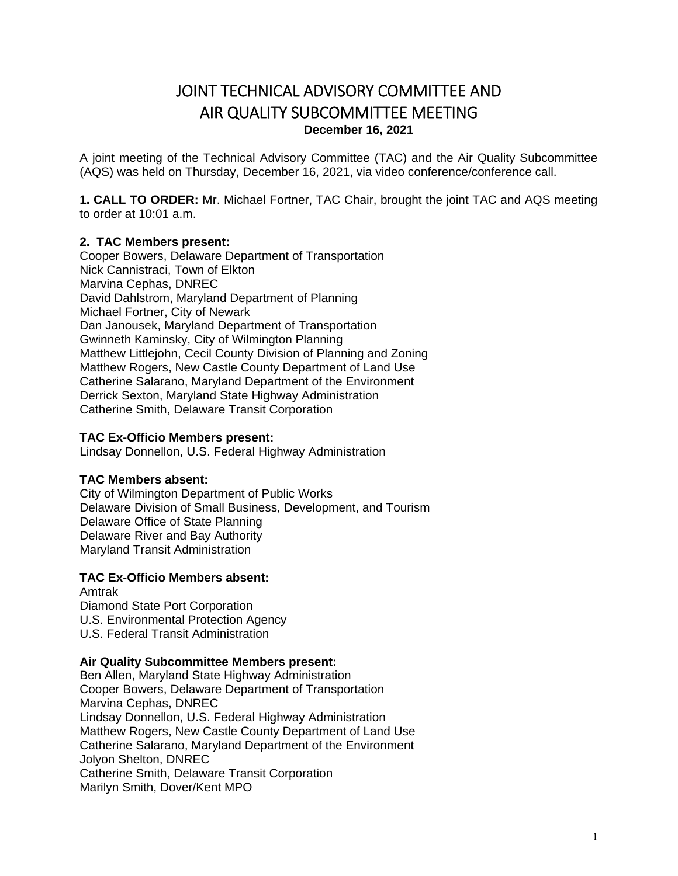# JOINT TECHNICAL ADVISORY COMMITTEE AND AIR QUALITY SUBCOMMITTEE MEETING **December 16, 2021**

A joint meeting of the Technical Advisory Committee (TAC) and the Air Quality Subcommittee (AQS) was held on Thursday, December 16, 2021, via video conference/conference call.

**1. CALL TO ORDER:** Mr. Michael Fortner, TAC Chair, brought the joint TAC and AQS meeting to order at 10:01 a.m.

## **2. TAC Members present:**

Cooper Bowers, Delaware Department of Transportation Nick Cannistraci, Town of Elkton Marvina Cephas, DNREC David Dahlstrom, Maryland Department of Planning Michael Fortner, City of Newark Dan Janousek, Maryland Department of Transportation Gwinneth Kaminsky, City of Wilmington Planning Matthew Littlejohn, Cecil County Division of Planning and Zoning Matthew Rogers, New Castle County Department of Land Use Catherine Salarano, Maryland Department of the Environment Derrick Sexton, Maryland State Highway Administration Catherine Smith, Delaware Transit Corporation

#### **TAC Ex-Officio Members present:**

Lindsay Donnellon, U.S. Federal Highway Administration

#### **TAC Members absent:**

City of Wilmington Department of Public Works Delaware Division of Small Business, Development, and Tourism Delaware Office of State Planning Delaware River and Bay Authority Maryland Transit Administration

#### **TAC Ex-Officio Members absent:**  Amtrak

Diamond State Port Corporation U.S. Environmental Protection Agency U.S. Federal Transit Administration

#### **Air Quality Subcommittee Members present:**

Ben Allen, Maryland State Highway Administration Cooper Bowers, Delaware Department of Transportation Marvina Cephas, DNREC Lindsay Donnellon, U.S. Federal Highway Administration Matthew Rogers, New Castle County Department of Land Use Catherine Salarano, Maryland Department of the Environment Jolyon Shelton, DNREC Catherine Smith, Delaware Transit Corporation Marilyn Smith, Dover/Kent MPO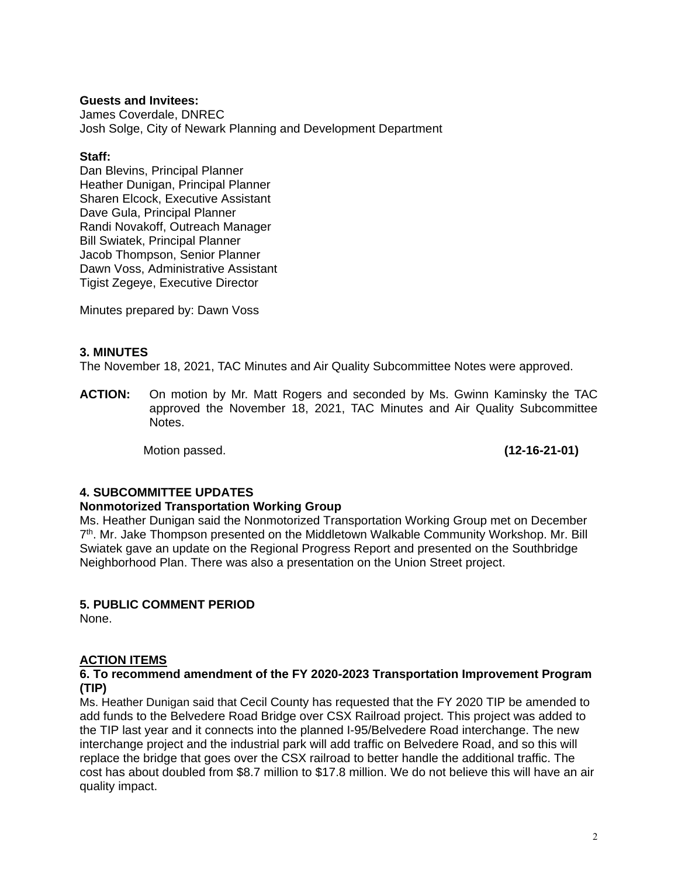## **Guests and Invitees:**

James Coverdale, DNREC Josh Solge, City of Newark Planning and Development Department

#### **Staff:**

Dan Blevins, Principal Planner Heather Dunigan, Principal Planner Sharen Elcock, Executive Assistant Dave Gula, Principal Planner Randi Novakoff, Outreach Manager Bill Swiatek, Principal Planner Jacob Thompson, Senior Planner Dawn Voss, Administrative Assistant Tigist Zegeye, Executive Director

Minutes prepared by: Dawn Voss

## **3. MINUTES**

The November 18, 2021, TAC Minutes and Air Quality Subcommittee Notes were approved.

**ACTION:** On motion by Mr. Matt Rogers and seconded by Ms. Gwinn Kaminsky the TAC approved the November 18, 2021, TAC Minutes and Air Quality Subcommittee Notes.

Motion passed. **(12-16-21-01)** 

## **4. SUBCOMMITTEE UPDATES**

#### **Nonmotorized Transportation Working Group**

Ms. Heather Dunigan said the Nonmotorized Transportation Working Group met on December 7th. Mr. Jake Thompson presented on the Middletown Walkable Community Workshop. Mr. Bill Swiatek gave an update on the Regional Progress Report and presented on the Southbridge Neighborhood Plan. There was also a presentation on the Union Street project.

## **5. PUBLIC COMMENT PERIOD**

None.

#### **ACTION ITEMS**

#### **6. To recommend amendment of the FY 2020-2023 Transportation Improvement Program (TIP)**

Ms. Heather Dunigan said that Cecil County has requested that the FY 2020 TIP be amended to add funds to the Belvedere Road Bridge over CSX Railroad project. This project was added to the TIP last year and it connects into the planned I-95/Belvedere Road interchange. The new interchange project and the industrial park will add traffic on Belvedere Road, and so this will replace the bridge that goes over the CSX railroad to better handle the additional traffic. The cost has about doubled from \$8.7 million to \$17.8 million. We do not believe this will have an air quality impact.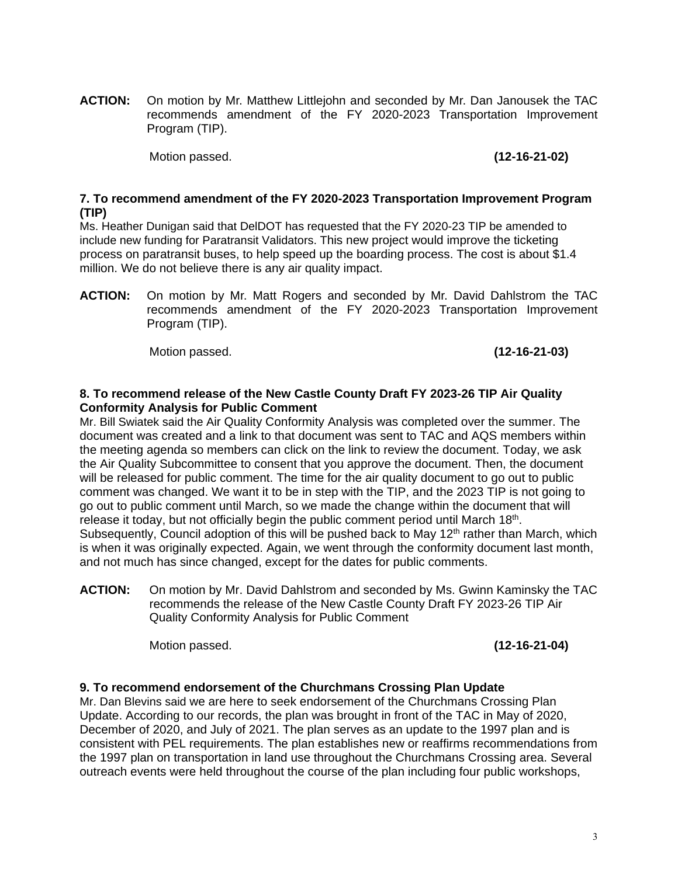**ACTION:** On motion by Mr. Matthew Littlejohn and seconded by Mr. Dan Janousek the TAC recommends amendment of the FY 2020-2023 Transportation Improvement Program (TIP).

Motion passed. **(12-16-21-02)** 

### **7. To recommend amendment of the FY 2020-2023 Transportation Improvement Program (TIP)**

Ms. Heather Dunigan said that DelDOT has requested that the FY 2020-23 TIP be amended to include new funding for Paratransit Validators. This new project would improve the ticketing process on paratransit buses, to help speed up the boarding process. The cost is about \$1.4 million. We do not believe there is any air quality impact.

**ACTION:** On motion by Mr. Matt Rogers and seconded by Mr. David Dahlstrom the TAC recommends amendment of the FY 2020-2023 Transportation Improvement Program (TIP).

Motion passed. **(12-16-21-03)** 

## **8. To recommend release of the New Castle County Draft FY 2023-26 TIP Air Quality Conformity Analysis for Public Comment**

Mr. Bill Swiatek said the Air Quality Conformity Analysis was completed over the summer. The document was created and a link to that document was sent to TAC and AQS members within the meeting agenda so members can click on the link to review the document. Today, we ask the Air Quality Subcommittee to consent that you approve the document. Then, the document will be released for public comment. The time for the air quality document to go out to public comment was changed. We want it to be in step with the TIP, and the 2023 TIP is not going to go out to public comment until March, so we made the change within the document that will release it today, but not officially begin the public comment period until March 18th. Subsequently, Council adoption of this will be pushed back to May  $12<sup>th</sup>$  rather than March, which is when it was originally expected. Again, we went through the conformity document last month, and not much has since changed, except for the dates for public comments.

**ACTION:** On motion by Mr. David Dahlstrom and seconded by Ms. Gwinn Kaminsky the TAC recommends the release of the New Castle County Draft FY 2023-26 TIP Air Quality Conformity Analysis for Public Comment

Motion passed. **(12-16-21-04)** 

## **9. To recommend endorsement of the Churchmans Crossing Plan Update**

Mr. Dan Blevins said we are here to seek endorsement of the Churchmans Crossing Plan Update. According to our records, the plan was brought in front of the TAC in May of 2020, December of 2020, and July of 2021. The plan serves as an update to the 1997 plan and is consistent with PEL requirements. The plan establishes new or reaffirms recommendations from the 1997 plan on transportation in land use throughout the Churchmans Crossing area. Several outreach events were held throughout the course of the plan including four public workshops,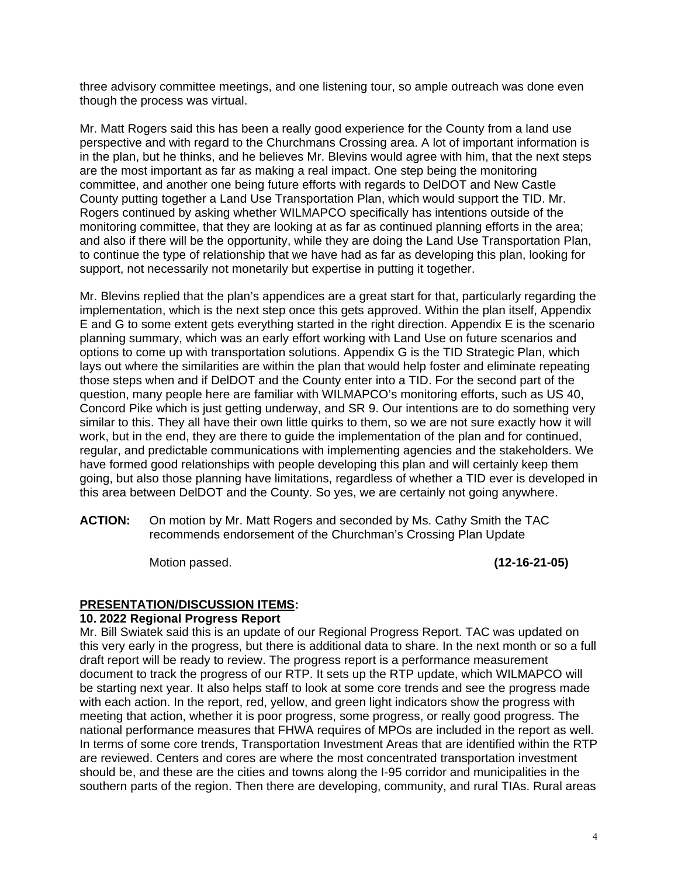three advisory committee meetings, and one listening tour, so ample outreach was done even though the process was virtual.

Mr. Matt Rogers said this has been a really good experience for the County from a land use perspective and with regard to the Churchmans Crossing area. A lot of important information is in the plan, but he thinks, and he believes Mr. Blevins would agree with him, that the next steps are the most important as far as making a real impact. One step being the monitoring committee, and another one being future efforts with regards to DelDOT and New Castle County putting together a Land Use Transportation Plan, which would support the TID. Mr. Rogers continued by asking whether WILMAPCO specifically has intentions outside of the monitoring committee, that they are looking at as far as continued planning efforts in the area; and also if there will be the opportunity, while they are doing the Land Use Transportation Plan, to continue the type of relationship that we have had as far as developing this plan, looking for support, not necessarily not monetarily but expertise in putting it together.

Mr. Blevins replied that the plan's appendices are a great start for that, particularly regarding the implementation, which is the next step once this gets approved. Within the plan itself, Appendix E and G to some extent gets everything started in the right direction. Appendix E is the scenario planning summary, which was an early effort working with Land Use on future scenarios and options to come up with transportation solutions. Appendix G is the TID Strategic Plan, which lays out where the similarities are within the plan that would help foster and eliminate repeating those steps when and if DelDOT and the County enter into a TID. For the second part of the question, many people here are familiar with WILMAPCO's monitoring efforts, such as US 40, Concord Pike which is just getting underway, and SR 9. Our intentions are to do something very similar to this. They all have their own little quirks to them, so we are not sure exactly how it will work, but in the end, they are there to guide the implementation of the plan and for continued, regular, and predictable communications with implementing agencies and the stakeholders. We have formed good relationships with people developing this plan and will certainly keep them going, but also those planning have limitations, regardless of whether a TID ever is developed in this area between DelDOT and the County. So yes, we are certainly not going anywhere.

**ACTION:** On motion by Mr. Matt Rogers and seconded by Ms. Cathy Smith the TAC recommends endorsement of the Churchman's Crossing Plan Update

Motion passed. **(12-16-21-05)** 

## **PRESENTATION/DISCUSSION ITEMS:**

#### **10. 2022 Regional Progress Report**

Mr. Bill Swiatek said this is an update of our Regional Progress Report. TAC was updated on this very early in the progress, but there is additional data to share. In the next month or so a full draft report will be ready to review. The progress report is a performance measurement document to track the progress of our RTP. It sets up the RTP update, which WILMAPCO will be starting next year. It also helps staff to look at some core trends and see the progress made with each action. In the report, red, yellow, and green light indicators show the progress with meeting that action, whether it is poor progress, some progress, or really good progress. The national performance measures that FHWA requires of MPOs are included in the report as well. In terms of some core trends, Transportation Investment Areas that are identified within the RTP are reviewed. Centers and cores are where the most concentrated transportation investment should be, and these are the cities and towns along the I-95 corridor and municipalities in the southern parts of the region. Then there are developing, community, and rural TIAs. Rural areas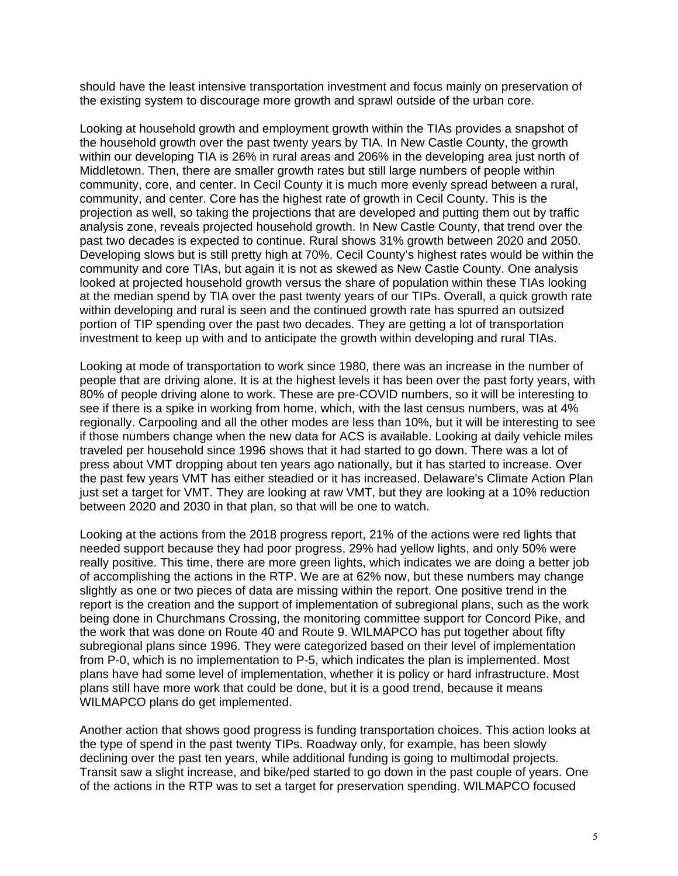should have the least intensive transportation investment and focus mainly on preservation of the existing system to discourage more growth and sprawl outside of the urban core.

Looking at household growth and employment growth within the TIAs provides a snapshot of the household growth over the past twenty years by TIA. In New Castle County, the growth within our developing TIA is 26% in rural areas and 206% in the developing area just north of Middletown. Then, there are smaller growth rates but still large numbers of people within community, core, and center. In Cecil County it is much more evenly spread between a rural, community, and center. Core has the highest rate of growth in Cecil County. This is the projection as well, so taking the projections that are developed and putting them out by traffic analysis zone, reveals projected household growth. In New Castle County, that trend over the past two decades is expected to continue. Rural shows 31% growth between 2020 and 2050. Developing slows but is still pretty high at 70%. Cecil County's highest rates would be within the community and core TIAs, but again it is not as skewed as New Castle County. One analysis looked at projected household growth versus the share of population within these TIAs looking at the median spend by TIA over the past twenty years of our TIPs. Overall, a quick growth rate within developing and rural is seen and the continued growth rate has spurred an outsized portion of TIP spending over the past two decades. They are getting a lot of transportation investment to keep up with and to anticipate the growth within developing and rural TIAs.

Looking at mode of transportation to work since 1980, there was an increase in the number of people that are driving alone. It is at the highest levels it has been over the past forty years, with 80% of people driving alone to work. These are pre-COVID numbers, so it will be interesting to see if there is a spike in working from home, which, with the last census numbers, was at 4% regionally. Carpooling and all the other modes are less than 10%, but it will be interesting to see if those numbers change when the new data for ACS is available. Looking at daily vehicle miles traveled per household since 1996 shows that it had started to go down. There was a lot of press about VMT dropping about ten years ago nationally, but it has started to increase. Over the past few years VMT has either steadied or it has increased. Delaware's Climate Action Plan just set a target for VMT. They are looking at raw VMT, but they are looking at a 10% reduction between 2020 and 2030 in that plan, so that will be one to watch.

Looking at the actions from the 2018 progress report, 21% of the actions were red lights that needed support because they had poor progress, 29% had yellow lights, and only 50% were really positive. This time, there are more green lights, which indicates we are doing a better job of accomplishing the actions in the RTP. We are at 62% now, but these numbers may change slightly as one or two pieces of data are missing within the report. One positive trend in the report is the creation and the support of implementation of subregional plans, such as the work being done in Churchmans Crossing, the monitoring committee support for Concord Pike, and the work that was done on Route 40 and Route 9. WILMAPCO has put together about fifty subregional plans since 1996. They were categorized based on their level of implementation from P-0, which is no implementation to P-5, which indicates the plan is implemented. Most plans have had some level of implementation, whether it is policy or hard infrastructure. Most plans still have more work that could be done, but it is a good trend, because it means WILMAPCO plans do get implemented.

Another action that shows good progress is funding transportation choices. This action looks at the type of spend in the past twenty TIPs. Roadway only, for example, has been slowly declining over the past ten years, while additional funding is going to multimodal projects. Transit saw a slight increase, and bike/ped started to go down in the past couple of years. One of the actions in the RTP was to set a target for preservation spending. WILMAPCO focused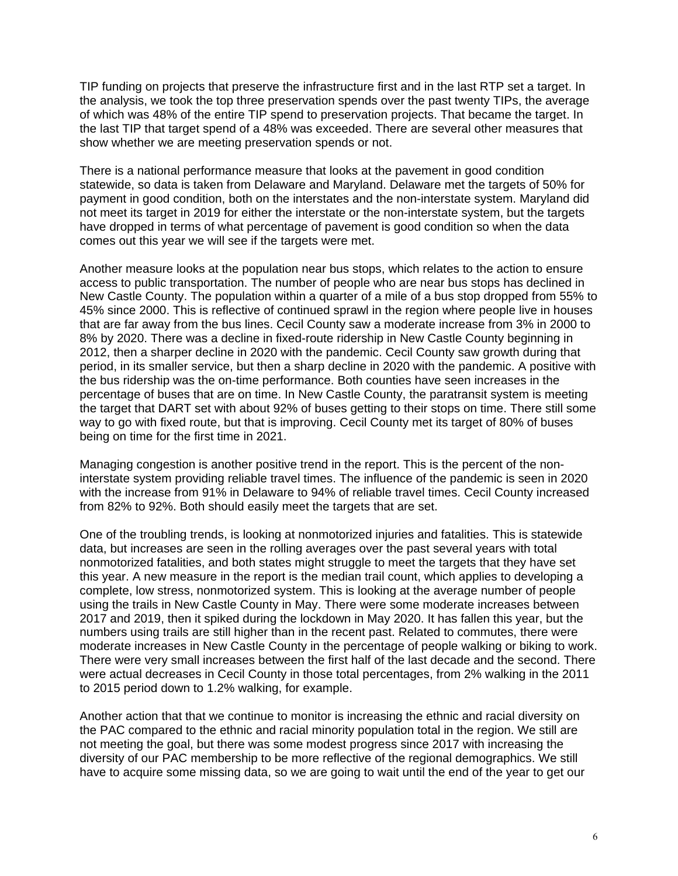TIP funding on projects that preserve the infrastructure first and in the last RTP set a target. In the analysis, we took the top three preservation spends over the past twenty TIPs, the average of which was 48% of the entire TIP spend to preservation projects. That became the target. In the last TIP that target spend of a 48% was exceeded. There are several other measures that show whether we are meeting preservation spends or not.

There is a national performance measure that looks at the pavement in good condition statewide, so data is taken from Delaware and Maryland. Delaware met the targets of 50% for payment in good condition, both on the interstates and the non-interstate system. Maryland did not meet its target in 2019 for either the interstate or the non-interstate system, but the targets have dropped in terms of what percentage of pavement is good condition so when the data comes out this year we will see if the targets were met.

Another measure looks at the population near bus stops, which relates to the action to ensure access to public transportation. The number of people who are near bus stops has declined in New Castle County. The population within a quarter of a mile of a bus stop dropped from 55% to 45% since 2000. This is reflective of continued sprawl in the region where people live in houses that are far away from the bus lines. Cecil County saw a moderate increase from 3% in 2000 to 8% by 2020. There was a decline in fixed-route ridership in New Castle County beginning in 2012, then a sharper decline in 2020 with the pandemic. Cecil County saw growth during that period, in its smaller service, but then a sharp decline in 2020 with the pandemic. A positive with the bus ridership was the on-time performance. Both counties have seen increases in the percentage of buses that are on time. In New Castle County, the paratransit system is meeting the target that DART set with about 92% of buses getting to their stops on time. There still some way to go with fixed route, but that is improving. Cecil County met its target of 80% of buses being on time for the first time in 2021.

Managing congestion is another positive trend in the report. This is the percent of the noninterstate system providing reliable travel times. The influence of the pandemic is seen in 2020 with the increase from 91% in Delaware to 94% of reliable travel times. Cecil County increased from 82% to 92%. Both should easily meet the targets that are set.

One of the troubling trends, is looking at nonmotorized injuries and fatalities. This is statewide data, but increases are seen in the rolling averages over the past several years with total nonmotorized fatalities, and both states might struggle to meet the targets that they have set this year. A new measure in the report is the median trail count, which applies to developing a complete, low stress, nonmotorized system. This is looking at the average number of people using the trails in New Castle County in May. There were some moderate increases between 2017 and 2019, then it spiked during the lockdown in May 2020. It has fallen this year, but the numbers using trails are still higher than in the recent past. Related to commutes, there were moderate increases in New Castle County in the percentage of people walking or biking to work. There were very small increases between the first half of the last decade and the second. There were actual decreases in Cecil County in those total percentages, from 2% walking in the 2011 to 2015 period down to 1.2% walking, for example.

Another action that that we continue to monitor is increasing the ethnic and racial diversity on the PAC compared to the ethnic and racial minority population total in the region. We still are not meeting the goal, but there was some modest progress since 2017 with increasing the diversity of our PAC membership to be more reflective of the regional demographics. We still have to acquire some missing data, so we are going to wait until the end of the year to get our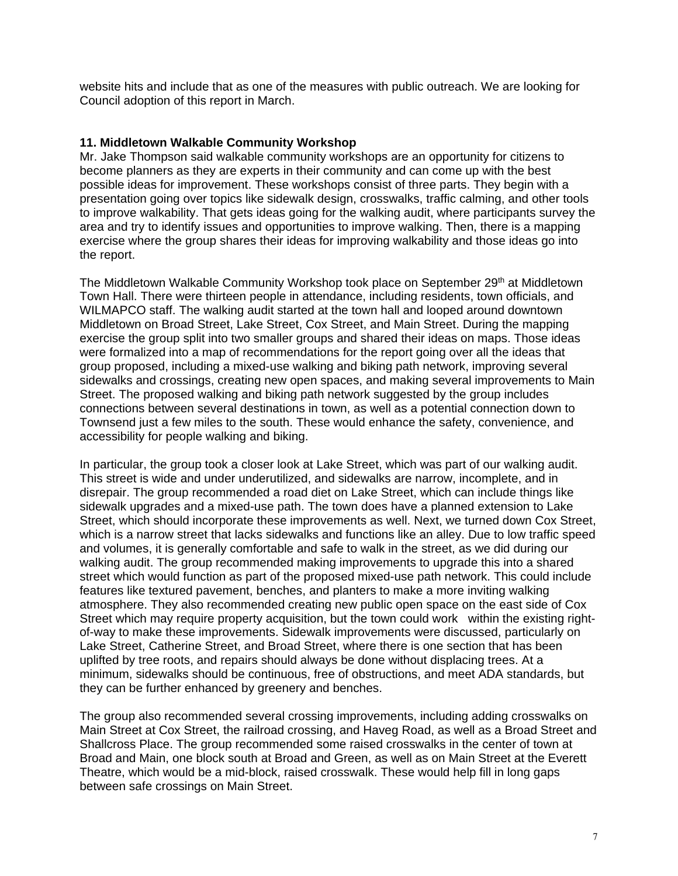website hits and include that as one of the measures with public outreach. We are looking for Council adoption of this report in March.

#### **11. Middletown Walkable Community Workshop**

Mr. Jake Thompson said walkable community workshops are an opportunity for citizens to become planners as they are experts in their community and can come up with the best possible ideas for improvement. These workshops consist of three parts. They begin with a presentation going over topics like sidewalk design, crosswalks, traffic calming, and other tools to improve walkability. That gets ideas going for the walking audit, where participants survey the area and try to identify issues and opportunities to improve walking. Then, there is a mapping exercise where the group shares their ideas for improving walkability and those ideas go into the report.

The Middletown Walkable Community Workshop took place on September 29th at Middletown Town Hall. There were thirteen people in attendance, including residents, town officials, and WILMAPCO staff. The walking audit started at the town hall and looped around downtown Middletown on Broad Street, Lake Street, Cox Street, and Main Street. During the mapping exercise the group split into two smaller groups and shared their ideas on maps. Those ideas were formalized into a map of recommendations for the report going over all the ideas that group proposed, including a mixed-use walking and biking path network, improving several sidewalks and crossings, creating new open spaces, and making several improvements to Main Street. The proposed walking and biking path network suggested by the group includes connections between several destinations in town, as well as a potential connection down to Townsend just a few miles to the south. These would enhance the safety, convenience, and accessibility for people walking and biking.

In particular, the group took a closer look at Lake Street, which was part of our walking audit. This street is wide and under underutilized, and sidewalks are narrow, incomplete, and in disrepair. The group recommended a road diet on Lake Street, which can include things like sidewalk upgrades and a mixed-use path. The town does have a planned extension to Lake Street, which should incorporate these improvements as well. Next, we turned down Cox Street, which is a narrow street that lacks sidewalks and functions like an alley. Due to low traffic speed and volumes, it is generally comfortable and safe to walk in the street, as we did during our walking audit. The group recommended making improvements to upgrade this into a shared street which would function as part of the proposed mixed-use path network. This could include features like textured pavement, benches, and planters to make a more inviting walking atmosphere. They also recommended creating new public open space on the east side of Cox Street which may require property acquisition, but the town could work within the existing rightof-way to make these improvements. Sidewalk improvements were discussed, particularly on Lake Street, Catherine Street, and Broad Street, where there is one section that has been uplifted by tree roots, and repairs should always be done without displacing trees. At a minimum, sidewalks should be continuous, free of obstructions, and meet ADA standards, but they can be further enhanced by greenery and benches.

The group also recommended several crossing improvements, including adding crosswalks on Main Street at Cox Street, the railroad crossing, and Haveg Road, as well as a Broad Street and Shallcross Place. The group recommended some raised crosswalks in the center of town at Broad and Main, one block south at Broad and Green, as well as on Main Street at the Everett Theatre, which would be a mid-block, raised crosswalk. These would help fill in long gaps between safe crossings on Main Street.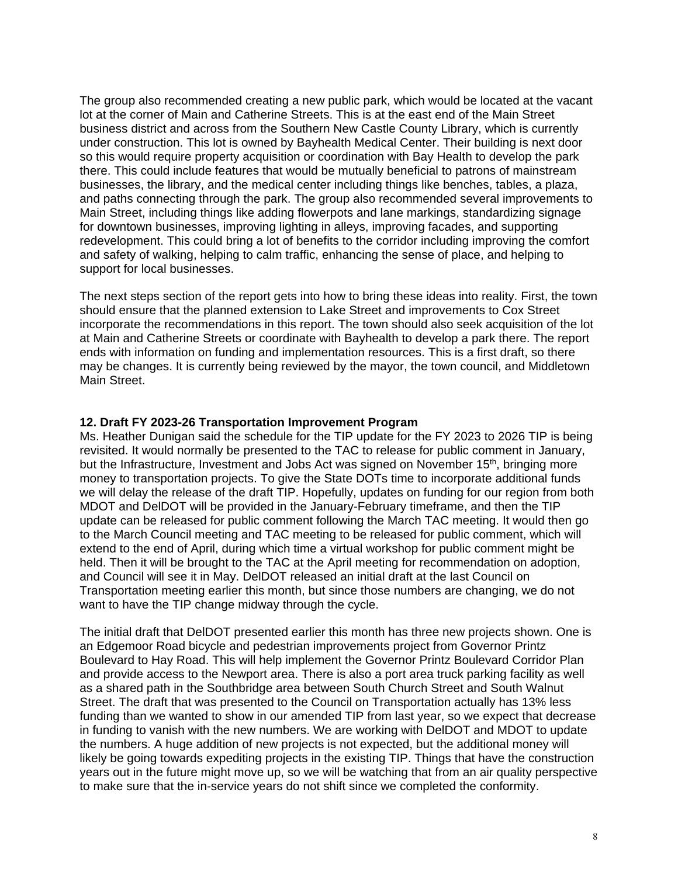The group also recommended creating a new public park, which would be located at the vacant lot at the corner of Main and Catherine Streets. This is at the east end of the Main Street business district and across from the Southern New Castle County Library, which is currently under construction. This lot is owned by Bayhealth Medical Center. Their building is next door so this would require property acquisition or coordination with Bay Health to develop the park there. This could include features that would be mutually beneficial to patrons of mainstream businesses, the library, and the medical center including things like benches, tables, a plaza, and paths connecting through the park. The group also recommended several improvements to Main Street, including things like adding flowerpots and lane markings, standardizing signage for downtown businesses, improving lighting in alleys, improving facades, and supporting redevelopment. This could bring a lot of benefits to the corridor including improving the comfort and safety of walking, helping to calm traffic, enhancing the sense of place, and helping to support for local businesses.

The next steps section of the report gets into how to bring these ideas into reality. First, the town should ensure that the planned extension to Lake Street and improvements to Cox Street incorporate the recommendations in this report. The town should also seek acquisition of the lot at Main and Catherine Streets or coordinate with Bayhealth to develop a park there. The report ends with information on funding and implementation resources. This is a first draft, so there may be changes. It is currently being reviewed by the mayor, the town council, and Middletown Main Street.

## **12. Draft FY 2023-26 Transportation Improvement Program**

Ms. Heather Dunigan said the schedule for the TIP update for the FY 2023 to 2026 TIP is being revisited. It would normally be presented to the TAC to release for public comment in January, but the Infrastructure, Investment and Jobs Act was signed on November 15<sup>th</sup>, bringing more money to transportation projects. To give the State DOTs time to incorporate additional funds we will delay the release of the draft TIP. Hopefully, updates on funding for our region from both MDOT and DelDOT will be provided in the January-February timeframe, and then the TIP update can be released for public comment following the March TAC meeting. It would then go to the March Council meeting and TAC meeting to be released for public comment, which will extend to the end of April, during which time a virtual workshop for public comment might be held. Then it will be brought to the TAC at the April meeting for recommendation on adoption, and Council will see it in May. DelDOT released an initial draft at the last Council on Transportation meeting earlier this month, but since those numbers are changing, we do not want to have the TIP change midway through the cycle.

The initial draft that DelDOT presented earlier this month has three new projects shown. One is an Edgemoor Road bicycle and pedestrian improvements project from Governor Printz Boulevard to Hay Road. This will help implement the Governor Printz Boulevard Corridor Plan and provide access to the Newport area. There is also a port area truck parking facility as well as a shared path in the Southbridge area between South Church Street and South Walnut Street. The draft that was presented to the Council on Transportation actually has 13% less funding than we wanted to show in our amended TIP from last year, so we expect that decrease in funding to vanish with the new numbers. We are working with DelDOT and MDOT to update the numbers. A huge addition of new projects is not expected, but the additional money will likely be going towards expediting projects in the existing TIP. Things that have the construction years out in the future might move up, so we will be watching that from an air quality perspective to make sure that the in-service years do not shift since we completed the conformity.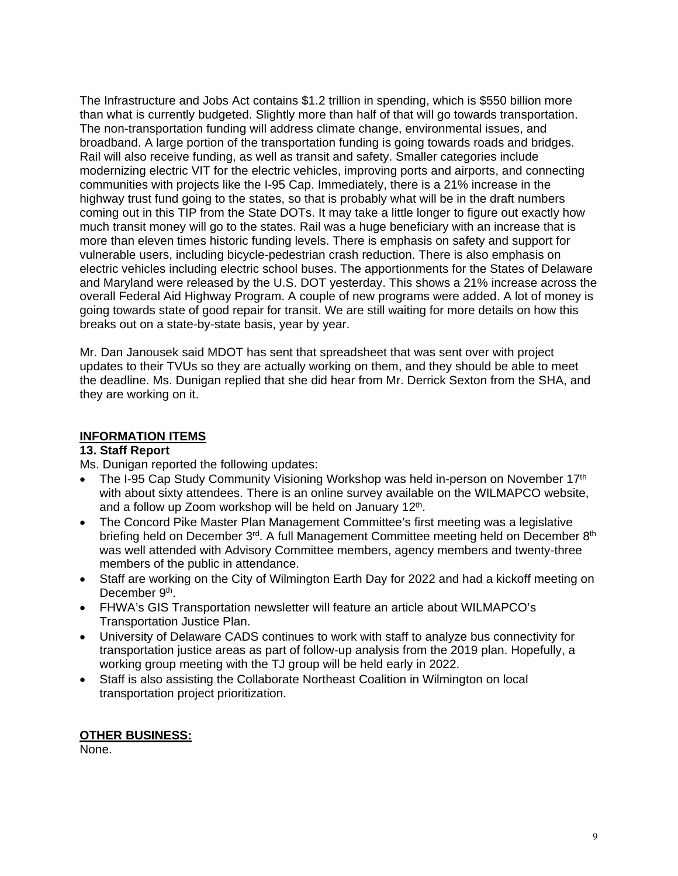The Infrastructure and Jobs Act contains \$1.2 trillion in spending, which is \$550 billion more than what is currently budgeted. Slightly more than half of that will go towards transportation. The non-transportation funding will address climate change, environmental issues, and broadband. A large portion of the transportation funding is going towards roads and bridges. Rail will also receive funding, as well as transit and safety. Smaller categories include modernizing electric VIT for the electric vehicles, improving ports and airports, and connecting communities with projects like the I-95 Cap. Immediately, there is a 21% increase in the highway trust fund going to the states, so that is probably what will be in the draft numbers coming out in this TIP from the State DOTs. It may take a little longer to figure out exactly how much transit money will go to the states. Rail was a huge beneficiary with an increase that is more than eleven times historic funding levels. There is emphasis on safety and support for vulnerable users, including bicycle-pedestrian crash reduction. There is also emphasis on electric vehicles including electric school buses. The apportionments for the States of Delaware and Maryland were released by the U.S. DOT yesterday. This shows a 21% increase across the overall Federal Aid Highway Program. A couple of new programs were added. A lot of money is going towards state of good repair for transit. We are still waiting for more details on how this breaks out on a state-by-state basis, year by year.

Mr. Dan Janousek said MDOT has sent that spreadsheet that was sent over with project updates to their TVUs so they are actually working on them, and they should be able to meet the deadline. Ms. Dunigan replied that she did hear from Mr. Derrick Sexton from the SHA, and they are working on it.

## **INFORMATION ITEMS**

#### **13. Staff Report**

Ms. Dunigan reported the following updates:

- The I-95 Cap Study Community Visioning Workshop was held in-person on November 17<sup>th</sup> with about sixty attendees. There is an online survey available on the WILMAPCO website, and a follow up Zoom workshop will be held on January 12<sup>th</sup>.
- The Concord Pike Master Plan Management Committee's first meeting was a legislative briefing held on December 3<sup>rd</sup>. A full Management Committee meeting held on December 8<sup>th</sup> was well attended with Advisory Committee members, agency members and twenty-three members of the public in attendance.
- Staff are working on the City of Wilmington Earth Day for 2022 and had a kickoff meeting on December 9<sup>th</sup>.
- FHWA's GIS Transportation newsletter will feature an article about WILMAPCO's Transportation Justice Plan.
- University of Delaware CADS continues to work with staff to analyze bus connectivity for transportation justice areas as part of follow-up analysis from the 2019 plan. Hopefully, a working group meeting with the TJ group will be held early in 2022.
- Staff is also assisting the Collaborate Northeast Coalition in Wilmington on local transportation project prioritization.

## **OTHER BUSINESS:**

None.